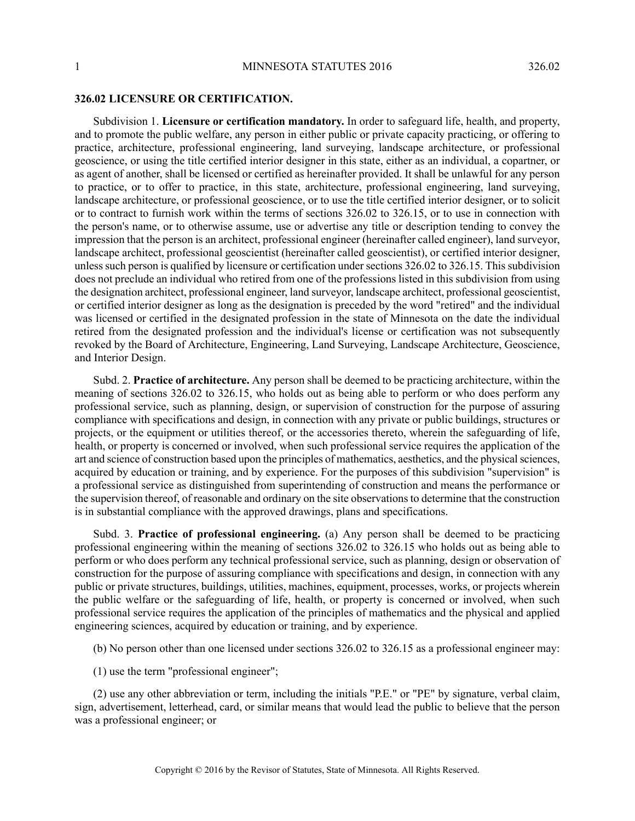## **326.02 LICENSURE OR CERTIFICATION.**

Subdivision 1. **Licensure or certification mandatory.** In order to safeguard life, health, and property, and to promote the public welfare, any person in either public or private capacity practicing, or offering to practice, architecture, professional engineering, land surveying, landscape architecture, or professional geoscience, or using the title certified interior designer in this state, either as an individual, a copartner, or as agent of another, shall be licensed or certified as hereinafter provided. It shall be unlawful for any person to practice, or to offer to practice, in this state, architecture, professional engineering, land surveying, landscape architecture, or professional geoscience, or to use the title certified interior designer, or to solicit or to contract to furnish work within the terms of sections 326.02 to 326.15, or to use in connection with the person's name, or to otherwise assume, use or advertise any title or description tending to convey the impression that the person is an architect, professional engineer (hereinafter called engineer), land surveyor, landscape architect, professional geoscientist (hereinafter called geoscientist), or certified interior designer, unless such person is qualified by licensure or certification under sections 326.02 to 326.15. This subdivision does not preclude an individual who retired from one of the professions listed in this subdivision from using the designation architect, professional engineer, land surveyor, landscape architect, professional geoscientist, or certified interior designer as long as the designation is preceded by the word "retired" and the individual was licensed or certified in the designated profession in the state of Minnesota on the date the individual retired from the designated profession and the individual's license or certification was not subsequently revoked by the Board of Architecture, Engineering, Land Surveying, Landscape Architecture, Geoscience, and Interior Design.

Subd. 2. **Practice of architecture.** Any person shall be deemed to be practicing architecture, within the meaning of sections 326.02 to 326.15, who holds out as being able to perform or who does perform any professional service, such as planning, design, or supervision of construction for the purpose of assuring compliance with specifications and design, in connection with any private or public buildings, structures or projects, or the equipment or utilities thereof, or the accessories thereto, wherein the safeguarding of life, health, or property is concerned or involved, when such professional service requires the application of the art and science of construction based upon the principles of mathematics, aesthetics, and the physicalsciences, acquired by education or training, and by experience. For the purposes of this subdivision "supervision" is a professional service as distinguished from superintending of construction and means the performance or the supervision thereof, of reasonable and ordinary on the site observationsto determine that the construction is in substantial compliance with the approved drawings, plans and specifications.

Subd. 3. **Practice of professional engineering.** (a) Any person shall be deemed to be practicing professional engineering within the meaning of sections 326.02 to 326.15 who holds out as being able to perform or who does perform any technical professional service, such as planning, design or observation of construction for the purpose of assuring compliance with specifications and design, in connection with any public or private structures, buildings, utilities, machines, equipment, processes, works, or projects wherein the public welfare or the safeguarding of life, health, or property is concerned or involved, when such professional service requires the application of the principles of mathematics and the physical and applied engineering sciences, acquired by education or training, and by experience.

(b) No person other than one licensed under sections 326.02 to 326.15 as a professional engineer may:

(1) use the term "professional engineer";

(2) use any other abbreviation or term, including the initials "P.E." or "PE" by signature, verbal claim, sign, advertisement, letterhead, card, or similar means that would lead the public to believe that the person was a professional engineer; or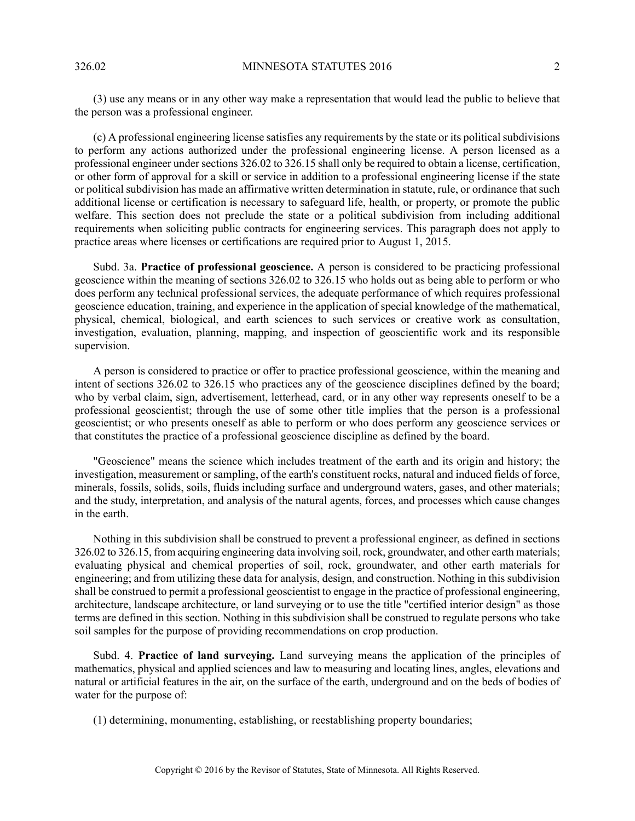(3) use any means or in any other way make a representation that would lead the public to believe that the person was a professional engineer.

(c) A professional engineering license satisfies any requirements by the state or its political subdivisions to perform any actions authorized under the professional engineering license. A person licensed as a professional engineer under sections 326.02 to 326.15 shall only be required to obtain a license, certification, or other form of approval for a skill or service in addition to a professional engineering license if the state or political subdivision has made an affirmative written determination in statute, rule, or ordinance that such additional license or certification is necessary to safeguard life, health, or property, or promote the public welfare. This section does not preclude the state or a political subdivision from including additional requirements when soliciting public contracts for engineering services. This paragraph does not apply to practice areas where licenses or certifications are required prior to August 1, 2015.

Subd. 3a. **Practice of professional geoscience.** A person is considered to be practicing professional geoscience within the meaning of sections 326.02 to 326.15 who holds out as being able to perform or who does perform any technical professional services, the adequate performance of which requires professional geoscience education, training, and experience in the application of special knowledge of the mathematical, physical, chemical, biological, and earth sciences to such services or creative work as consultation, investigation, evaluation, planning, mapping, and inspection of geoscientific work and its responsible supervision.

A person is considered to practice or offer to practice professional geoscience, within the meaning and intent of sections 326.02 to 326.15 who practices any of the geoscience disciplines defined by the board; who by verbal claim, sign, advertisement, letterhead, card, or in any other way represents oneself to be a professional geoscientist; through the use of some other title implies that the person is a professional geoscientist; or who presents oneself as able to perform or who does perform any geoscience services or that constitutes the practice of a professional geoscience discipline as defined by the board.

"Geoscience" means the science which includes treatment of the earth and its origin and history; the investigation, measurement or sampling, of the earth's constituent rocks, natural and induced fields of force, minerals, fossils, solids, soils, fluids including surface and underground waters, gases, and other materials; and the study, interpretation, and analysis of the natural agents, forces, and processes which cause changes in the earth.

Nothing in this subdivision shall be construed to prevent a professional engineer, as defined in sections 326.02 to 326.15, from acquiring engineering data involving soil, rock, groundwater, and other earth materials; evaluating physical and chemical properties of soil, rock, groundwater, and other earth materials for engineering; and from utilizing these data for analysis, design, and construction. Nothing in this subdivision shall be construed to permit a professional geoscientist to engage in the practice of professional engineering, architecture, landscape architecture, or land surveying or to use the title "certified interior design" as those terms are defined in this section. Nothing in this subdivision shall be construed to regulate persons who take soil samples for the purpose of providing recommendations on crop production.

Subd. 4. **Practice of land surveying.** Land surveying means the application of the principles of mathematics, physical and applied sciences and law to measuring and locating lines, angles, elevations and natural or artificial features in the air, on the surface of the earth, underground and on the beds of bodies of water for the purpose of:

(1) determining, monumenting, establishing, or reestablishing property boundaries;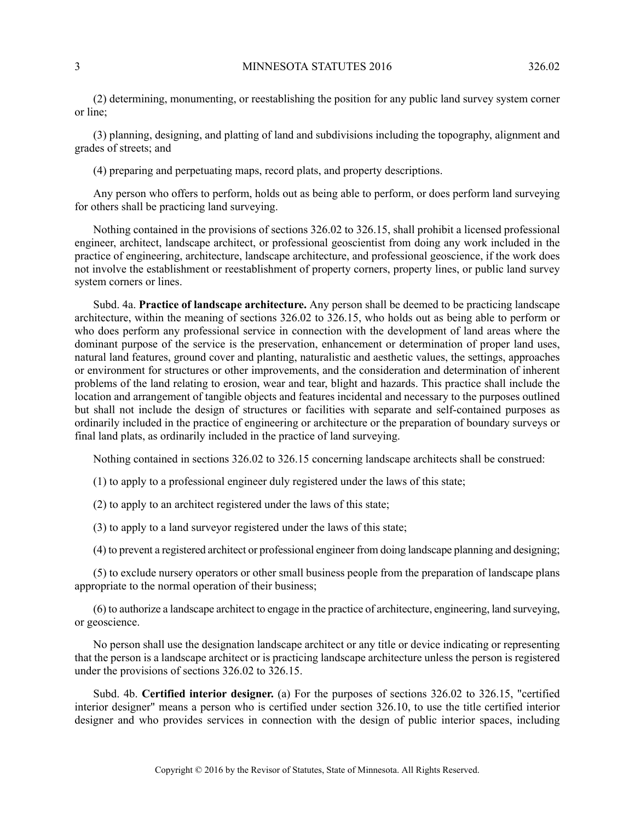(2) determining, monumenting, or reestablishing the position for any public land survey system corner or line;

(3) planning, designing, and platting of land and subdivisions including the topography, alignment and grades of streets; and

(4) preparing and perpetuating maps, record plats, and property descriptions.

Any person who offers to perform, holds out as being able to perform, or does perform land surveying for others shall be practicing land surveying.

Nothing contained in the provisions of sections 326.02 to 326.15, shall prohibit a licensed professional engineer, architect, landscape architect, or professional geoscientist from doing any work included in the practice of engineering, architecture, landscape architecture, and professional geoscience, if the work does not involve the establishment or reestablishment of property corners, property lines, or public land survey system corners or lines.

Subd. 4a. **Practice of landscape architecture.** Any person shall be deemed to be practicing landscape architecture, within the meaning of sections 326.02 to 326.15, who holds out as being able to perform or who does perform any professional service in connection with the development of land areas where the dominant purpose of the service is the preservation, enhancement or determination of proper land uses, natural land features, ground cover and planting, naturalistic and aesthetic values, the settings, approaches or environment for structures or other improvements, and the consideration and determination of inherent problems of the land relating to erosion, wear and tear, blight and hazards. This practice shall include the location and arrangement of tangible objects and features incidental and necessary to the purposes outlined but shall not include the design of structures or facilities with separate and self-contained purposes as ordinarily included in the practice of engineering or architecture or the preparation of boundary surveys or final land plats, as ordinarily included in the practice of land surveying.

Nothing contained in sections 326.02 to 326.15 concerning landscape architects shall be construed:

(1) to apply to a professional engineer duly registered under the laws of this state;

(2) to apply to an architect registered under the laws of this state;

(3) to apply to a land surveyor registered under the laws of this state;

(4) to prevent a registered architect or professional engineer from doing landscape planning and designing;

(5) to exclude nursery operators or other small business people from the preparation of landscape plans appropriate to the normal operation of their business;

(6) to authorize a landscape architect to engage in the practice of architecture, engineering, land surveying, or geoscience.

No person shall use the designation landscape architect or any title or device indicating or representing that the person is a landscape architect or is practicing landscape architecture unless the person is registered under the provisions of sections 326.02 to 326.15.

Subd. 4b. **Certified interior designer.** (a) For the purposes of sections 326.02 to 326.15, "certified interior designer" means a person who is certified under section 326.10, to use the title certified interior designer and who provides services in connection with the design of public interior spaces, including